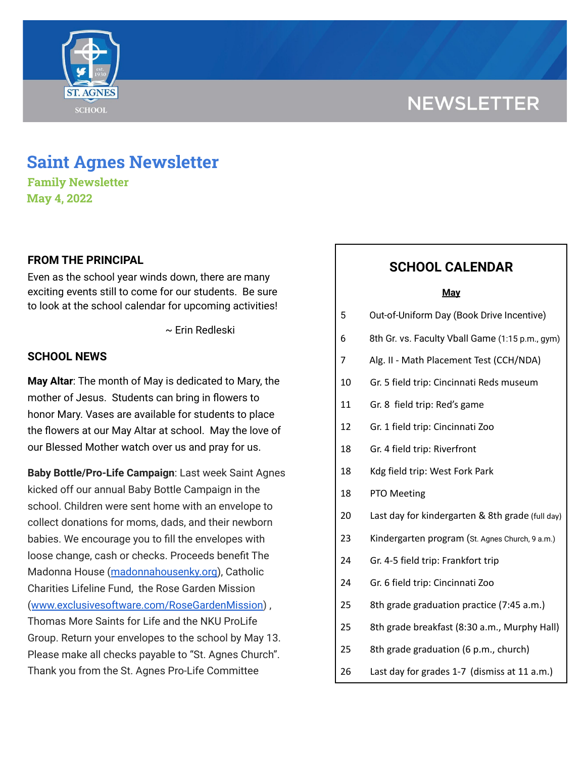# **NEWSLETTER**



## **Saint Agnes Newsletter**

**Family Newsletter May 4, 2022**

## **FROM THE PRINCIPAL**

Even as the school year winds down, there are many exciting events still to come for our students. Be sure to look at the school calendar for upcoming activities!

~ Erin Redleski

### **SCHOOL NEWS**

**May Altar**: The month of May is dedicated to Mary, the mother of Jesus. Students can bring in flowers to honor Mary. Vases are available for students to place the flowers at our May Altar at school. May the love of our Blessed Mother watch over us and pray for us.

**Baby Bottle/Pro-Life Campaign**: Last week Saint Agnes kicked off our annual Baby Bottle Campaign in the school. Children were sent home with an envelope to collect donations for moms, dads, and their newborn babies. We encourage you to fill the envelopes with loose change, cash or checks. Proceeds benefit The Madonna House ([madonnahousenky.org](http://madonnahousenky.org/)), Catholic Charities Lifeline Fund, the Rose Garden Mission ([www.exclusivesoftware.com/RoseGardenMission](http://www.exclusivesoftware.com/RoseGardenMission)) , Thomas More Saints for Life and the NKU ProLife Group. Return your envelopes to the school by May 13. Please make all checks payable to "St. Agnes Church". Thank you from the St. Agnes Pro-Life Committee

## **SCHOOL CALENDAR**

#### **May**

- 5 Out-of-Uniform Day (Book Drive Incentive)
- 6 8th Gr. vs. Faculty Vball Game (1:15 p.m., gym)
- 7 Alg. II Math Placement Test (CCH/NDA)
- 10 Gr. 5 field trip: Cincinnati Reds museum
- 11 Gr. 8 field trip: Red's game
- 12 Gr. 1 field trip: Cincinnati Zoo
- 18 Gr. 4 field trip: Riverfront
- 18 Kdg field trip: West Fork Park
- 18 PTO Meeting
- 20 Last day for kindergarten & 8th grade (full day)
- 23 Kindergarten program (St. Agnes Church, 9 a.m.)
- 24 Gr. 4-5 field trip: Frankfort trip
- 24 Gr. 6 field trip: Cincinnati Zoo
- 25 8th grade graduation practice (7:45 a.m.)
- 25 8th grade breakfast (8:30 a.m., Murphy Hall)
- 25 8th grade graduation (6 p.m., church)
- 26 Last day for grades 1-7 (dismiss at 11 a.m.)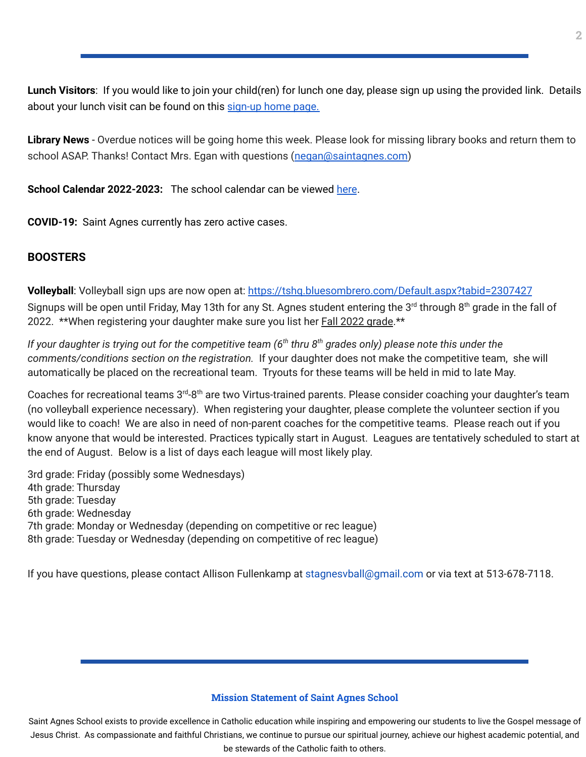**Lunch Visitors**: If you would like to join your child(ren) for lunch one day, please sign up using the provided link. Details about your lunch visit can be found on this [sign-up](https://signup.com/Group/7270313220456800119/) home page.

**Library News** - Overdue notices will be going home this week. Please look for missing library books and return them to school ASAP. Thanks! Contact Mrs. Egan with questions ([negan@saintagnes.com](mailto:negan@saintagnes.com))

**School Calendar 2022-2023:** The school calendar can be viewed [here](https://docs.google.com/document/d/19Jca5qDUn0PL7orYjTM3_tiJTiT1MqUm7a4nh3h5hlk/edit?usp=sharing).

**COVID-19:** Saint Agnes currently has zero active cases.

## **BOOSTERS**

Volleyball: Volleyball sign ups are now open at: <https://tshq.bluesombrero.com/Default.aspx?tabid=2307427> Signups will be open until Friday, May 13th for any St. Agnes student entering the 3<sup>rd</sup> through 8<sup>th</sup> grade in the fall of 2022. \*\*When registering your daughter make sure you list her Fall 2022 grade.\*\*

If your daughter is trying out for the competitive team (6<sup>th</sup> thru 8<sup>th</sup> grades only) please note this under the *comments/conditions section on the registration.* If your daughter does not make the competitive team, she will automatically be placed on the recreational team. Tryouts for these teams will be held in mid to late May.

Coaches for recreational teams 3<sup>rd</sup>-8<sup>th</sup> are two Virtus-trained parents. Please consider coaching your daughter's team (no volleyball experience necessary). When registering your daughter, please complete the volunteer section if you would like to coach! We are also in need of non-parent coaches for the competitive teams. Please reach out if you know anyone that would be interested. Practices typically start in August. Leagues are tentatively scheduled to start at the end of August. Below is a list of days each league will most likely play.

3rd grade: Friday (possibly some Wednesdays) 4th grade: Thursday 5th grade: Tuesday 6th grade: Wednesday 7th grade: Monday or Wednesday (depending on competitive or rec league) 8th grade: Tuesday or Wednesday (depending on competitive of rec league)

If you have questions, please contact Allison Fullenkamp at stagnesvball@gmail.com or via text at 513-678-7118.

#### **Mission Statement of Saint Agnes School**

Saint Agnes School exists to provide excellence in Catholic education while inspiring and empowering our students to live the Gospel message of Jesus Christ. As compassionate and faithful Christians, we continue to pursue our spiritual journey, achieve our highest academic potential, and be stewards of the Catholic faith to others.